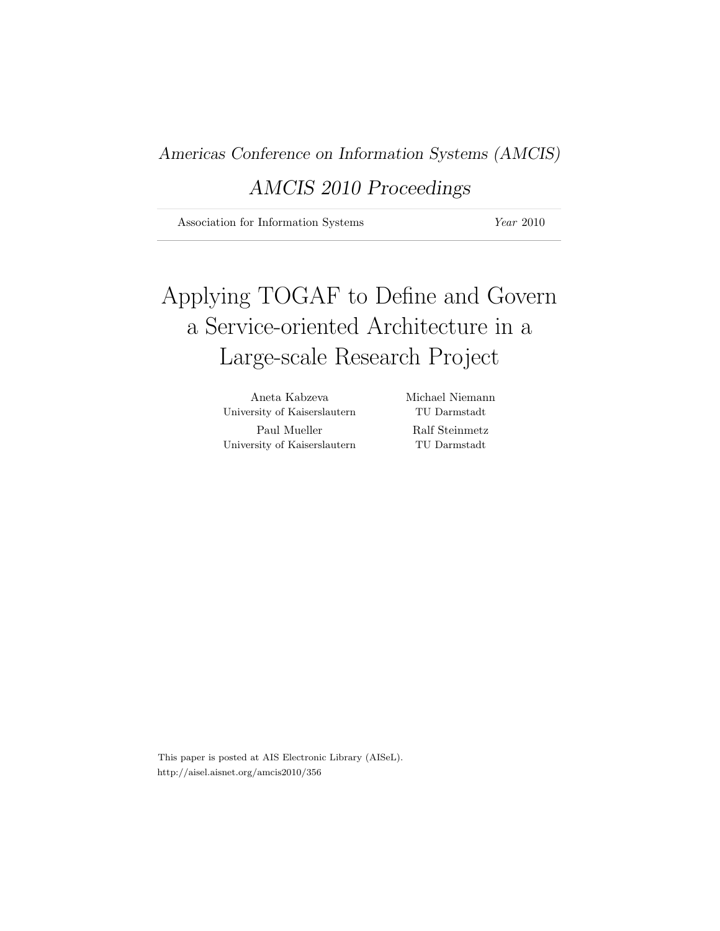Americas Conference on Information Systems (AMCIS)

## AMCIS 2010 Proceedings

Association for Information Systems Year 2010

## Applying TOGAF to Define and Govern a Service-oriented Architecture in a Large-scale Research Project

Aneta Kabzeva Michael Niemann University of Kaiserslautern TU Darmstadt Paul Mueller Ralf Steinmetz University of Kaiserslautern TU Darmstadt

This paper is posted at AIS Electronic Library (AISeL). http://aisel.aisnet.org/amcis2010/356